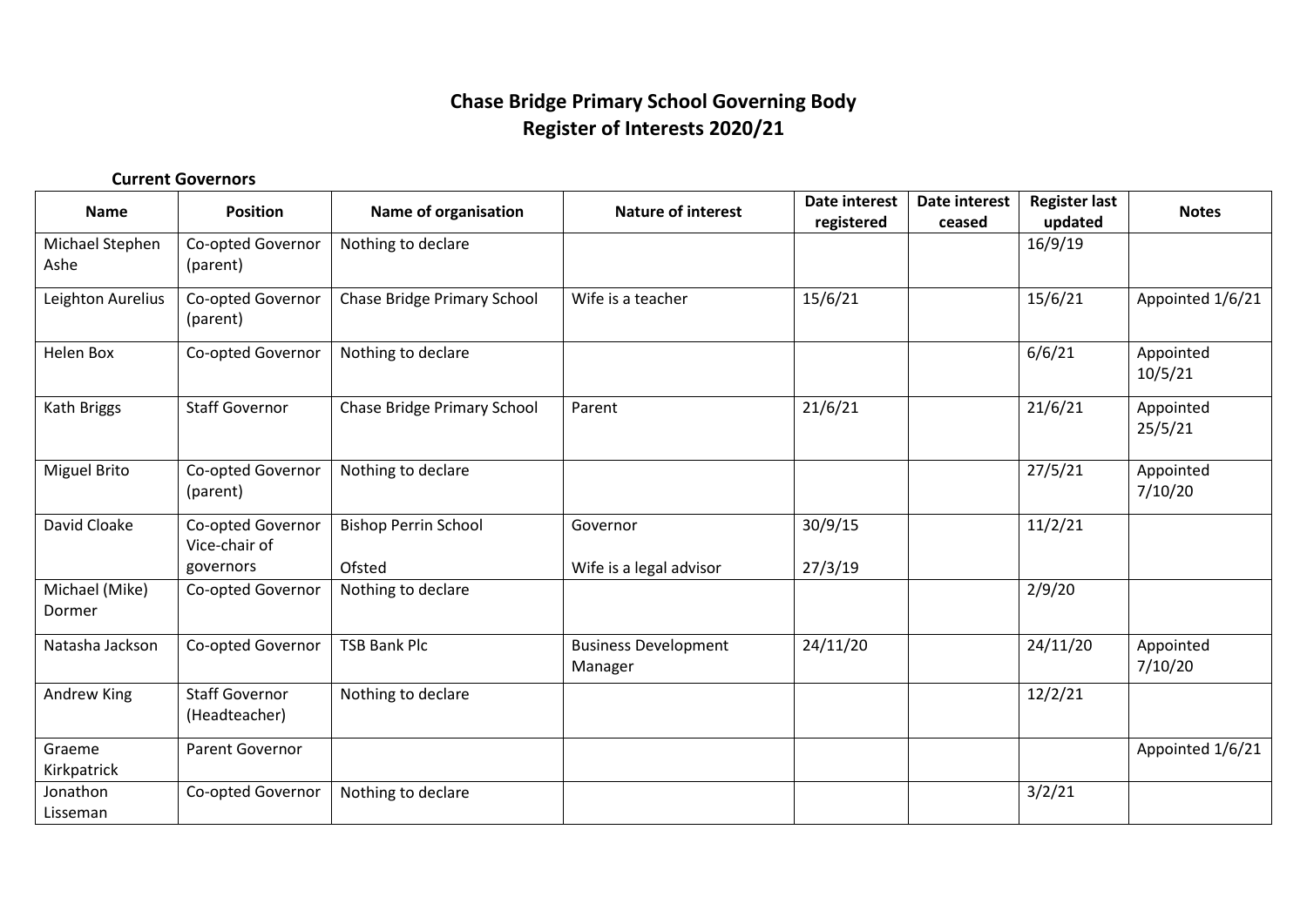## **Chase Bridge Primary School Governing Body Register of Interests 2020/21**

## **Current Governors**

| Name                     | <b>Position</b>                        | Name of organisation               | <b>Nature of interest</b>              | <b>Date interest</b><br>registered | Date interest<br>ceased | <b>Register last</b><br>updated | <b>Notes</b>         |
|--------------------------|----------------------------------------|------------------------------------|----------------------------------------|------------------------------------|-------------------------|---------------------------------|----------------------|
| Michael Stephen<br>Ashe  | Co-opted Governor<br>(parent)          | Nothing to declare                 |                                        |                                    |                         | 16/9/19                         |                      |
| Leighton Aurelius        | Co-opted Governor<br>(parent)          | Chase Bridge Primary School        | Wife is a teacher                      | 15/6/21                            |                         | 15/6/21                         | Appointed 1/6/21     |
| Helen Box                | Co-opted Governor                      | Nothing to declare                 |                                        |                                    |                         | 6/6/21                          | Appointed<br>10/5/21 |
| Kath Briggs              | <b>Staff Governor</b>                  | <b>Chase Bridge Primary School</b> | Parent                                 | 21/6/21                            |                         | 21/6/21                         | Appointed<br>25/5/21 |
| <b>Miguel Brito</b>      | Co-opted Governor<br>(parent)          | Nothing to declare                 |                                        |                                    |                         | 27/5/21                         | Appointed<br>7/10/20 |
| David Cloake             | Co-opted Governor<br>Vice-chair of     | <b>Bishop Perrin School</b>        | Governor                               | 30/9/15                            |                         | 11/2/21                         |                      |
|                          | governors                              | Ofsted                             | Wife is a legal advisor                | 27/3/19                            |                         |                                 |                      |
| Michael (Mike)<br>Dormer | Co-opted Governor                      | Nothing to declare                 |                                        |                                    |                         | 2/9/20                          |                      |
| Natasha Jackson          | Co-opted Governor                      | <b>TSB Bank Plc</b>                | <b>Business Development</b><br>Manager | 24/11/20                           |                         | 24/11/20                        | Appointed<br>7/10/20 |
| Andrew King              | <b>Staff Governor</b><br>(Headteacher) | Nothing to declare                 |                                        |                                    |                         | 12/2/21                         |                      |
| Graeme<br>Kirkpatrick    | Parent Governor                        |                                    |                                        |                                    |                         |                                 | Appointed 1/6/21     |
| Jonathon<br>Lisseman     | Co-opted Governor                      | Nothing to declare                 |                                        |                                    |                         | 3/2/21                          |                      |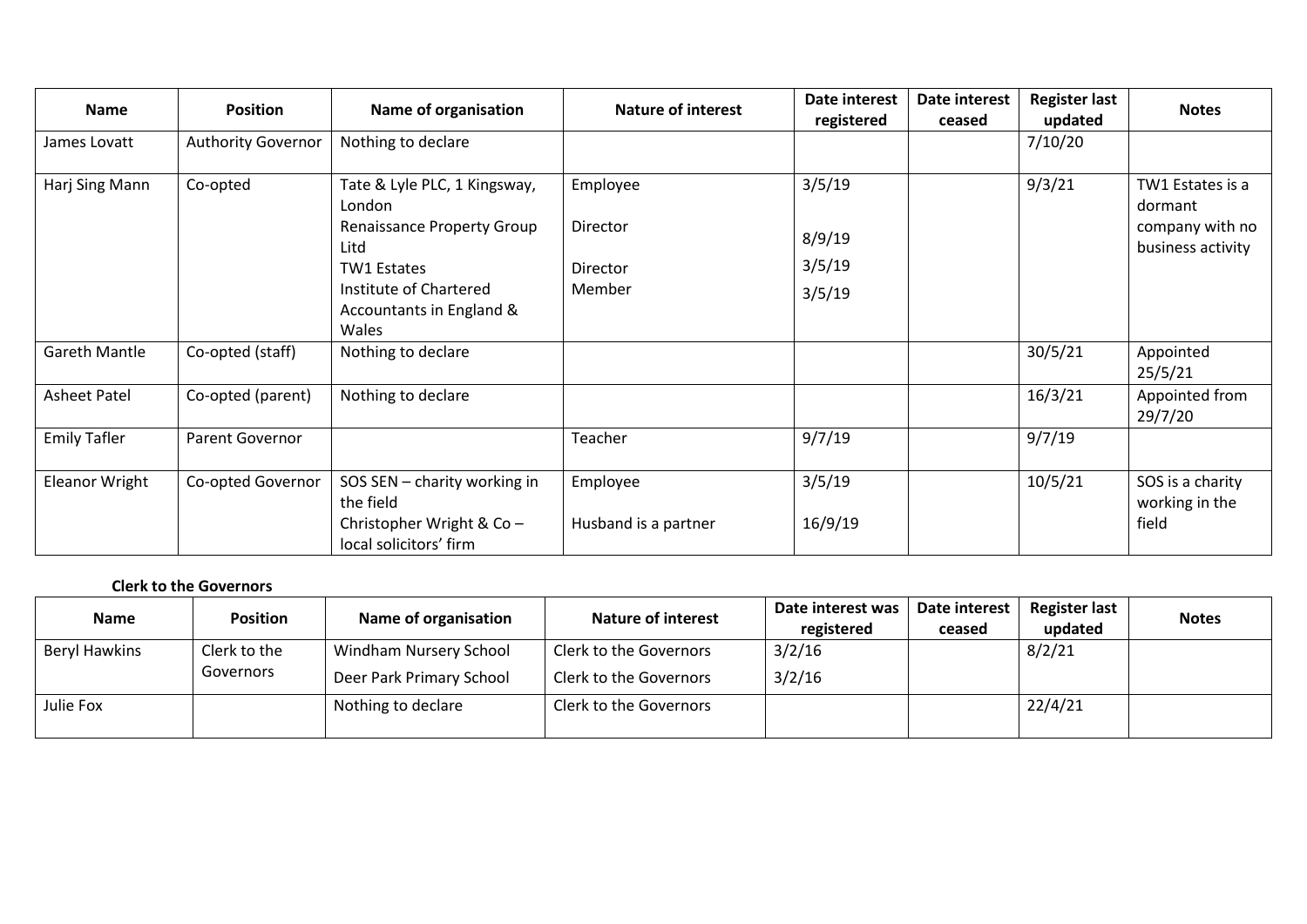| Name                 | <b>Position</b>           | Name of organisation                                                        | <b>Nature of interest</b> | Date interest<br>registered | Date interest<br>ceased | <b>Register last</b><br>updated | <b>Notes</b>                                   |  |
|----------------------|---------------------------|-----------------------------------------------------------------------------|---------------------------|-----------------------------|-------------------------|---------------------------------|------------------------------------------------|--|
| James Lovatt         | <b>Authority Governor</b> | Nothing to declare                                                          |                           |                             |                         | 7/10/20                         |                                                |  |
| Harj Sing Mann       | Co-opted                  | Tate & Lyle PLC, 1 Kingsway,<br>London<br><b>Renaissance Property Group</b> | Employee<br>Director      | 3/5/19                      |                         | 9/3/21                          | TW1 Estates is a<br>dormant<br>company with no |  |
|                      |                           | Litd                                                                        |                           | 8/9/19                      |                         |                                 | business activity                              |  |
|                      |                           | <b>TW1 Estates</b>                                                          | <b>Director</b>           | 3/5/19                      |                         |                                 |                                                |  |
|                      |                           | Institute of Chartered<br>Accountants in England &<br>Wales                 | Member                    | 3/5/19                      |                         |                                 |                                                |  |
| <b>Gareth Mantle</b> | Co-opted (staff)          | Nothing to declare                                                          |                           |                             |                         | 30/5/21                         | Appointed<br>25/5/21                           |  |
| <b>Asheet Patel</b>  | Co-opted (parent)         | Nothing to declare                                                          |                           |                             |                         | 16/3/21                         | Appointed from<br>29/7/20                      |  |
| <b>Emily Tafler</b>  | Parent Governor           |                                                                             | Teacher                   | 9/7/19                      |                         | 9/7/19                          |                                                |  |
| Eleanor Wright       | Co-opted Governor         | SOS SEN - charity working in<br>the field                                   | Employee                  | 3/5/19                      |                         | 10/5/21                         | SOS is a charity<br>working in the             |  |
|                      |                           | Christopher Wright & Co -<br>local solicitors' firm                         | Husband is a partner      | 16/9/19                     |                         |                                 | field                                          |  |

## **Clerk to the Governors**

| <b>Name</b>          | <b>Position</b> | Name of organisation          | <b>Nature of interest</b> | Date interest was | Date interest | <b>Register last</b> | <b>Notes</b> |
|----------------------|-----------------|-------------------------------|---------------------------|-------------------|---------------|----------------------|--------------|
|                      |                 |                               |                           | registered        | ceased        | updated              |              |
| <b>Beryl Hawkins</b> | Clerk to the    | <b>Windham Nursery School</b> | Clerk to the Governors    | 3/2/16            |               | 8/2/21               |              |
|                      | Governors       | Deer Park Primary School      | Clerk to the Governors    | 3/2/16            |               |                      |              |
| Julie Fox            |                 | Nothing to declare            | Clerk to the Governors    |                   |               | 22/4/21              |              |
|                      |                 |                               |                           |                   |               |                      |              |